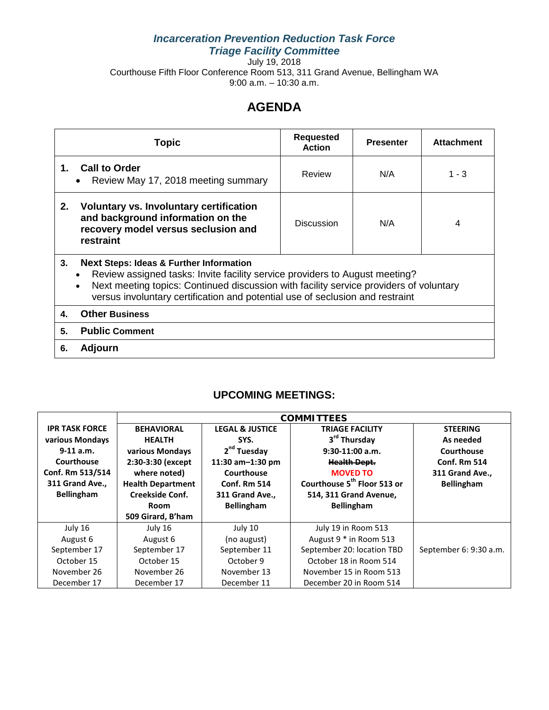## *Incarceration Prevention Reduction Task Force Triage Facility Committee*

July 19, 2018 Courthouse Fifth Floor Conference Room 513, 311 Grand Avenue, Bellingham WA 9:00 a.m. – 10:30 a.m.

# **AGENDA**

| Topic                                                                                                                                                                                                                                                                                                              | <b>Requested</b><br><b>Action</b> | <b>Presenter</b> | <b>Attachment</b> |  |  |  |  |  |  |
|--------------------------------------------------------------------------------------------------------------------------------------------------------------------------------------------------------------------------------------------------------------------------------------------------------------------|-----------------------------------|------------------|-------------------|--|--|--|--|--|--|
| <b>Call to Order</b><br>1.<br>Review May 17, 2018 meeting summary<br>$\bullet$                                                                                                                                                                                                                                     | Review                            | N/A              | $1 - 3$           |  |  |  |  |  |  |
| 2.<br>Voluntary vs. Involuntary certification<br>and background information on the<br>recovery model versus seclusion and<br>restraint                                                                                                                                                                             | <b>Discussion</b>                 | N/A              | 4                 |  |  |  |  |  |  |
| 3.<br><b>Next Steps: Ideas &amp; Further Information</b><br>Review assigned tasks: Invite facility service providers to August meeting?<br>Next meeting topics: Continued discussion with facility service providers of voluntary<br>versus involuntary certification and potential use of seclusion and restraint |                                   |                  |                   |  |  |  |  |  |  |
| <b>Other Business</b><br>4.                                                                                                                                                                                                                                                                                        |                                   |                  |                   |  |  |  |  |  |  |
| <b>Public Comment</b><br>5.                                                                                                                                                                                                                                                                                        |                                   |                  |                   |  |  |  |  |  |  |
| <b>Adjourn</b><br>6.                                                                                                                                                                                                                                                                                               |                                   |                  |                   |  |  |  |  |  |  |

## **UPCOMING MEETINGS:**

|                       | <b>COMMITTEES</b>        |                            |                                         |                        |  |  |  |  |
|-----------------------|--------------------------|----------------------------|-----------------------------------------|------------------------|--|--|--|--|
| <b>IPR TASK FORCE</b> | <b>BEHAVIORAL</b>        | <b>LEGAL &amp; JUSTICE</b> | <b>TRIAGE FACILITY</b>                  |                        |  |  |  |  |
| various Mondays       | <b>HEALTH</b>            | SYS.                       | 3 <sup>rd</sup> Thursday                | As needed              |  |  |  |  |
| $9-11$ a.m.           | various Mondays          | 2 <sup>nd</sup> Tuesday    | $9:30-11:00$ a.m.                       | Courthouse             |  |  |  |  |
| Courthouse            | 2:30-3:30 (except        | 11:30 am-1:30 pm           | <b>Health Dept.</b>                     | <b>Conf. Rm 514</b>    |  |  |  |  |
| Conf. Rm 513/514      | where noted)             | Courthouse                 | <b>MOVED TO</b>                         | 311 Grand Ave.,        |  |  |  |  |
| 311 Grand Ave.,       | <b>Health Department</b> | <b>Conf. Rm 514</b>        | Courthouse 5 <sup>th</sup> Floor 513 or | <b>Bellingham</b>      |  |  |  |  |
| <b>Bellingham</b>     | <b>Creekside Conf.</b>   | 311 Grand Ave.,            | 514, 311 Grand Avenue,                  |                        |  |  |  |  |
|                       | Room                     | <b>Bellingham</b>          | <b>Bellingham</b>                       |                        |  |  |  |  |
|                       | 509 Girard, B'ham        |                            |                                         |                        |  |  |  |  |
| July 16               | July 16                  | July 10                    | July 19 in Room 513                     |                        |  |  |  |  |
| August 6              | August 6                 | (no august)                | August 9 * in Room 513                  |                        |  |  |  |  |
| September 17          | September 17             | September 11               | September 20: location TBD              | September 6: 9:30 a.m. |  |  |  |  |
| October 15            | October 15               | October 9                  | October 18 in Room 514                  |                        |  |  |  |  |
| November 26           | November 26              | November 13                | November 15 in Room 513                 |                        |  |  |  |  |
| December 17           | December 17              | December 11                | December 20 in Room 514                 |                        |  |  |  |  |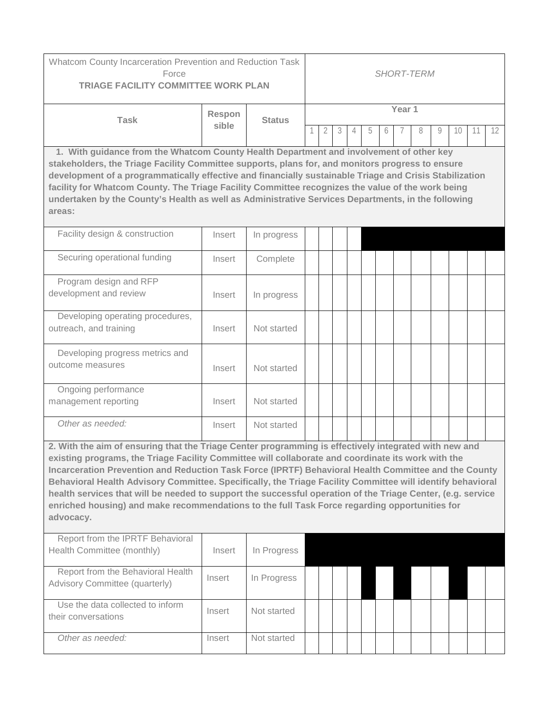| Whatcom County Incarceration Prevention and Reduction Task<br>Force<br><b>TRIAGE FACILITY COMMITTEE WORK PLAN</b>                                                                                                                                                                                                                                                                                                                                                                                                                                                                                                                                              |                 | <b>SHORT-TERM</b> |        |   |   |  |   |   |  |   |   |    |    |                   |
|----------------------------------------------------------------------------------------------------------------------------------------------------------------------------------------------------------------------------------------------------------------------------------------------------------------------------------------------------------------------------------------------------------------------------------------------------------------------------------------------------------------------------------------------------------------------------------------------------------------------------------------------------------------|-----------------|-------------------|--------|---|---|--|---|---|--|---|---|----|----|-------------------|
| <b>Task</b>                                                                                                                                                                                                                                                                                                                                                                                                                                                                                                                                                                                                                                                    | Respon<br>sible | <b>Status</b>     | Year 1 |   |   |  |   |   |  |   |   |    |    |                   |
|                                                                                                                                                                                                                                                                                                                                                                                                                                                                                                                                                                                                                                                                |                 |                   |        | 2 | 3 |  | 5 | 6 |  | 8 | 9 | 10 | 11 | $12 \overline{ }$ |
| 1. With guidance from the Whatcom County Health Department and involvement of other key<br>stakeholders, the Triage Facility Committee supports, plans for, and monitors progress to ensure<br>development of a programmatically effective and financially sustainable Triage and Crisis Stabilization<br>facility for Whatcom County. The Triage Facility Committee recognizes the value of the work being<br>undertaken by the County's Health as well as Administrative Services Departments, in the following<br>areas:                                                                                                                                    |                 |                   |        |   |   |  |   |   |  |   |   |    |    |                   |
| Facility design & construction                                                                                                                                                                                                                                                                                                                                                                                                                                                                                                                                                                                                                                 | Insert          | In progress       |        |   |   |  |   |   |  |   |   |    |    |                   |
| Securing operational funding                                                                                                                                                                                                                                                                                                                                                                                                                                                                                                                                                                                                                                   | Insert          | Complete          |        |   |   |  |   |   |  |   |   |    |    |                   |
| Program design and RFP<br>development and review                                                                                                                                                                                                                                                                                                                                                                                                                                                                                                                                                                                                               | Insert          | In progress       |        |   |   |  |   |   |  |   |   |    |    |                   |
| Developing operating procedures,<br>outreach, and training                                                                                                                                                                                                                                                                                                                                                                                                                                                                                                                                                                                                     | Insert          | Not started       |        |   |   |  |   |   |  |   |   |    |    |                   |
| Developing progress metrics and<br>outcome measures                                                                                                                                                                                                                                                                                                                                                                                                                                                                                                                                                                                                            | Insert          | Not started       |        |   |   |  |   |   |  |   |   |    |    |                   |
| Ongoing performance<br>management reporting                                                                                                                                                                                                                                                                                                                                                                                                                                                                                                                                                                                                                    | Insert          | Not started       |        |   |   |  |   |   |  |   |   |    |    |                   |
| Other as needed:                                                                                                                                                                                                                                                                                                                                                                                                                                                                                                                                                                                                                                               | Insert          | Not started       |        |   |   |  |   |   |  |   |   |    |    |                   |
| 2. With the aim of ensuring that the Triage Center programming is effectively integrated with new and<br>existing programs, the Triage Facility Committee will collaborate and coordinate its work with the<br>Incarceration Prevention and Reduction Task Force (IPRTF) Behavioral Health Committee and the County<br>Behavioral Health Advisory Committee. Specifically, the Triage Facility Committee will identify behavioral<br>health services that will be needed to support the successful operation of the Triage Center, (e.g. service<br>enriched housing) and make recommendations to the full Task Force regarding opportunities for<br>advocacy. |                 |                   |        |   |   |  |   |   |  |   |   |    |    |                   |
| Report from the IPRTF Behavioral<br>Health Committee (monthly)                                                                                                                                                                                                                                                                                                                                                                                                                                                                                                                                                                                                 | Insert          | In Progress       |        |   |   |  |   |   |  |   |   |    |    |                   |
| Report from the Behavioral Health<br>Advisory Committee (quarterly)                                                                                                                                                                                                                                                                                                                                                                                                                                                                                                                                                                                            | Insert          | In Progress       |        |   |   |  |   |   |  |   |   |    |    |                   |
| Use the data collected to inform<br>their conversations                                                                                                                                                                                                                                                                                                                                                                                                                                                                                                                                                                                                        | Insert          | Not started       |        |   |   |  |   |   |  |   |   |    |    |                   |
| Other as needed:                                                                                                                                                                                                                                                                                                                                                                                                                                                                                                                                                                                                                                               | Insert          | Not started       |        |   |   |  |   |   |  |   |   |    |    |                   |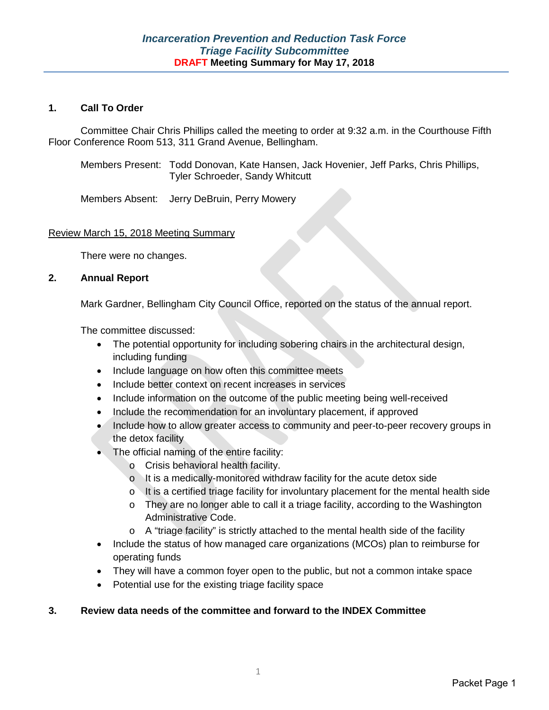#### **1. Call To Order**

Committee Chair Chris Phillips called the meeting to order at 9:32 a.m. in the Courthouse Fifth Floor Conference Room 513, 311 Grand Avenue, Bellingham.

Members Present: Todd Donovan, Kate Hansen, Jack Hovenier, Jeff Parks, Chris Phillips, Tyler Schroeder, Sandy Whitcutt

Members Absent: Jerry DeBruin, Perry Mowery

#### Review March 15, 2018 Meeting Summary

There were no changes.

#### **2. Annual Report**

Mark Gardner, Bellingham City Council Office, reported on the status of the annual report.

The committee discussed:

- The potential opportunity for including sobering chairs in the architectural design, including funding
- Include language on how often this committee meets
- Include better context on recent increases in services
- Include information on the outcome of the public meeting being well-received
- Include the recommendation for an involuntary placement, if approved
- Include how to allow greater access to community and peer-to-peer recovery groups in the detox facility
- The official naming of the entire facility:
	- o Crisis behavioral health facility.
	- o It is a medically-monitored withdraw facility for the acute detox side
	- $\circ$  It is a certified triage facility for involuntary placement for the mental health side
	- o They are no longer able to call it a triage facility, according to the Washington Administrative Code.
	- $\circ$  A "triage facility" is strictly attached to the mental health side of the facility
- Include the status of how managed care organizations (MCOs) plan to reimburse for operating funds
- They will have a common foyer open to the public, but not a common intake space
- Potential use for the existing triage facility space

#### **3. Review data needs of the committee and forward to the INDEX Committee**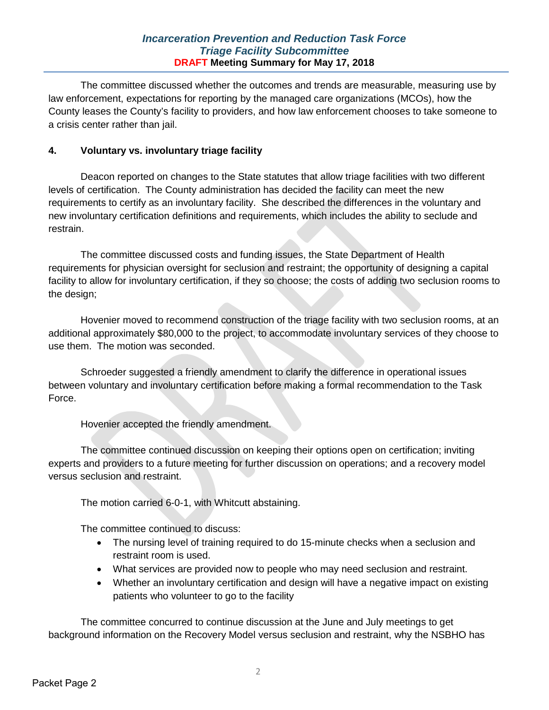## *Incarceration Prevention and Reduction Task Force Triage Facility Subcommittee* **DRAFT Meeting Summary for May 17, 2018**

The committee discussed whether the outcomes and trends are measurable, measuring use by law enforcement, expectations for reporting by the managed care organizations (MCOs), how the County leases the County's facility to providers, and how law enforcement chooses to take someone to a crisis center rather than jail.

## **4. Voluntary vs. involuntary triage facility**

Deacon reported on changes to the State statutes that allow triage facilities with two different levels of certification. The County administration has decided the facility can meet the new requirements to certify as an involuntary facility. She described the differences in the voluntary and new involuntary certification definitions and requirements, which includes the ability to seclude and restrain.

The committee discussed costs and funding issues, the State Department of Health requirements for physician oversight for seclusion and restraint; the opportunity of designing a capital facility to allow for involuntary certification, if they so choose; the costs of adding two seclusion rooms to the design;

Hovenier moved to recommend construction of the triage facility with two seclusion rooms, at an additional approximately \$80,000 to the project, to accommodate involuntary services of they choose to use them. The motion was seconded.

Schroeder suggested a friendly amendment to clarify the difference in operational issues between voluntary and involuntary certification before making a formal recommendation to the Task Force.

Hovenier accepted the friendly amendment.

The committee continued discussion on keeping their options open on certification; inviting experts and providers to a future meeting for further discussion on operations; and a recovery model versus seclusion and restraint.

The motion carried 6-0-1, with Whitcutt abstaining.

The committee continued to discuss:

- The nursing level of training required to do 15-minute checks when a seclusion and restraint room is used.
- What services are provided now to people who may need seclusion and restraint.
- Whether an involuntary certification and design will have a negative impact on existing patients who volunteer to go to the facility

The committee concurred to continue discussion at the June and July meetings to get background information on the Recovery Model versus seclusion and restraint, why the NSBHO has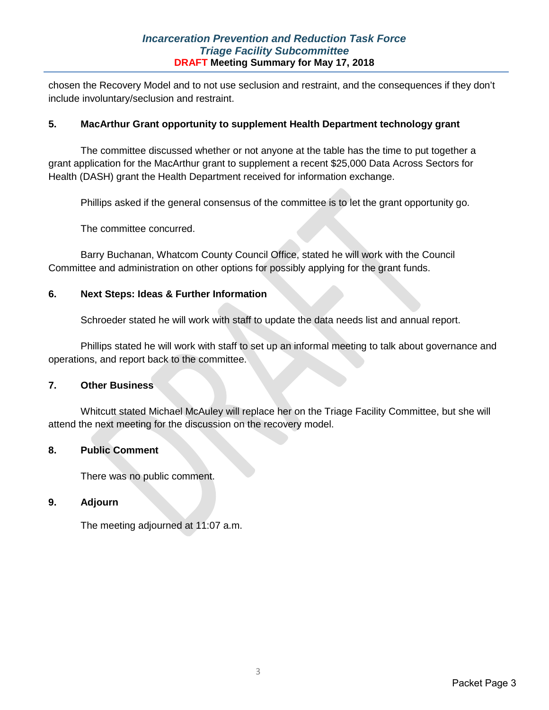chosen the Recovery Model and to not use seclusion and restraint, and the consequences if they don't include involuntary/seclusion and restraint.

## **5. MacArthur Grant opportunity to supplement Health Department technology grant**

The committee discussed whether or not anyone at the table has the time to put together a grant application for the MacArthur grant to supplement a recent \$25,000 Data Across Sectors for Health (DASH) grant the Health Department received for information exchange.

Phillips asked if the general consensus of the committee is to let the grant opportunity go.

The committee concurred.

Barry Buchanan, Whatcom County Council Office, stated he will work with the Council Committee and administration on other options for possibly applying for the grant funds.

## **6. Next Steps: Ideas & Further Information**

Schroeder stated he will work with staff to update the data needs list and annual report.

Phillips stated he will work with staff to set up an informal meeting to talk about governance and operations, and report back to the committee.

## **7. Other Business**

Whitcutt stated Michael McAuley will replace her on the Triage Facility Committee, but she will attend the next meeting for the discussion on the recovery model.

#### **8. Public Comment**

There was no public comment.

#### **9. Adjourn**

The meeting adjourned at 11:07 a.m.